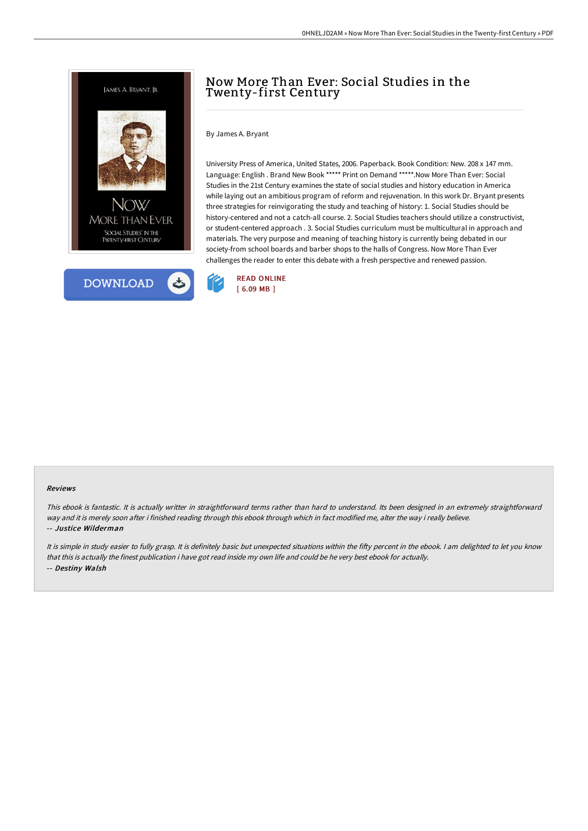



# Now More Than Ever: Social Studies in the Twenty-first Century

By James A. Bryant

University Press of America, United States, 2006. Paperback. Book Condition: New. 208 x 147 mm. Language: English . Brand New Book \*\*\*\*\* Print on Demand \*\*\*\*\*.Now More Than Ever: Social Studies in the 21st Century examines the state of social studies and history education in America while laying out an ambitious program of reform and rejuvenation. In this work Dr. Bryant presents three strategies for reinvigorating the study and teaching of history: 1. Social Studies should be history-centered and not a catch-all course. 2. Social Studies teachers should utilize a constructivist, or student-centered approach . 3. Social Studies curriculum must be multicultural in approach and materials. The very purpose and meaning of teaching history is currently being debated in our society-from school boards and barber shops to the halls of Congress. Now More Than Ever challenges the reader to enter this debate with a fresh perspective and renewed passion.



#### Reviews

This ebook is fantastic. It is actually writter in straightforward terms rather than hard to understand. Its been designed in an extremely straightforward way and it is merely soon after i finished reading through this ebook through which in fact modified me, alter the way i really believe. -- Justice Wilderman

It is simple in study easier to fully grasp. It is definitely basic but unexpected situations within the fifty percent in the ebook. I am delighted to let you know that this is actually the finest publication i have got read inside my own life and could be he very best ebook for actually. -- Destiny Walsh